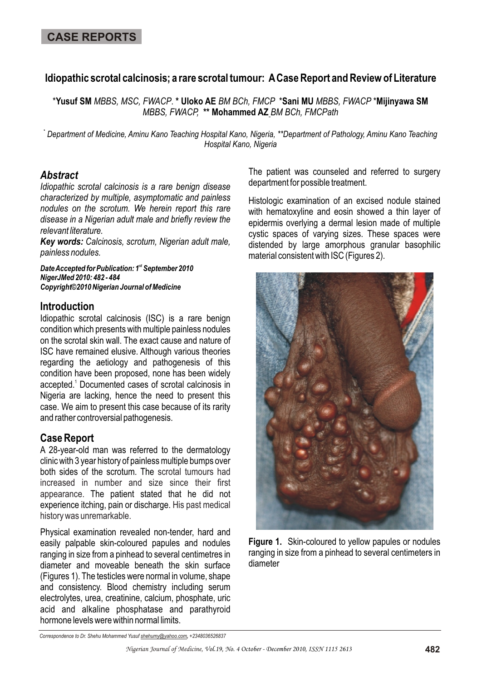# **Idiopathic scrotal calcinosis; a rare scrotal tumour: A Case Report and Review of Literature**

\***Yusuf SM** *MBBS, MSC, FWACP*. **\* Uloko AE** *BM BCh, FMCP* \***Sani MU** *MBBS, FWACP* \***Mijinyawa SM**  *MBBS, FWACP,* **\*\* Mohammed AZ** *BM BCh, FMCPath*

**\*** *Department of Medicine, Aminu Kano Teaching Hospital Kano, Nigeria, \*\*Department of Pathology, Aminu Kano Teaching Hospital Kano, Nigeria* 

## *Abstract*

*Idiopathic scrotal calcinosis is a rare benign disease characterized by multiple, asymptomatic and painless nodules on the scrotum. We herein report this rare disease in a Nigerian adult male and briefly review the relevant literature.*

*Key words: Calcinosis, scrotum, Nigerian adult male, painless nodules.*

**Date Accepted for Publication: 1st September 2010** *NigerJMed 2010: 482 - 484 Copyright©2010 Nigerian Journal of Medicine*

#### **Introduction**

Idiopathic scrotal calcinosis (ISC) is a rare benign condition which presents with multiple painless nodules on the scrotal skin wall. The exact cause and nature of ISC have remained elusive. Although various theories regarding the aetiology and pathogenesis of this condition have been proposed, none has been widely accepted.<sup>1</sup> Documented cases of scrotal calcinosis in Nigeria are lacking, hence the need to present this case. We aim to present this case because of its rarity and rather controversial pathogenesis.

## **Case Report**

A 28-year-old man was referred to the dermatology clinic with 3 year history of painless multiple bumps over both sides of the scrotum. The scrotal tumours had appearance. The patient stated that he did not experience itching, pain or discharge. His past medical increased in number and size since their first history was unremarkable.

Physical examination revealed non-tender, hard and easily palpable skin-coloured papules and nodules ranging in size from a pinhead to several centimetres in diameter and moveable beneath the skin surface (Figures 1). The testicles were normal in volume, shape and consistency. Blood chemistry including serum electrolytes, urea, creatinine, calcium, phosphate, uric acid and alkaline phosphatase and parathyroid hormone levels were within normal limits.

The patient was counseled and referred to surgery department for possible treatment.

Histologic examination of an excised nodule stained with hematoxyline and eosin showed a thin layer of epidermis overlying a dermal lesion made of multiple cystic spaces of varying sizes. These spaces were distended by large amorphous granular basophilic material consistent with ISC (Figures 2).



**Figure 1.** Skin-coloured to yellow papules or nodules ranging in size from a pinhead to several centimeters in diameter

*Correspondence to Dr. Shehu Mohammed Yusuf shehumy@yahoo.com, +2348036526837*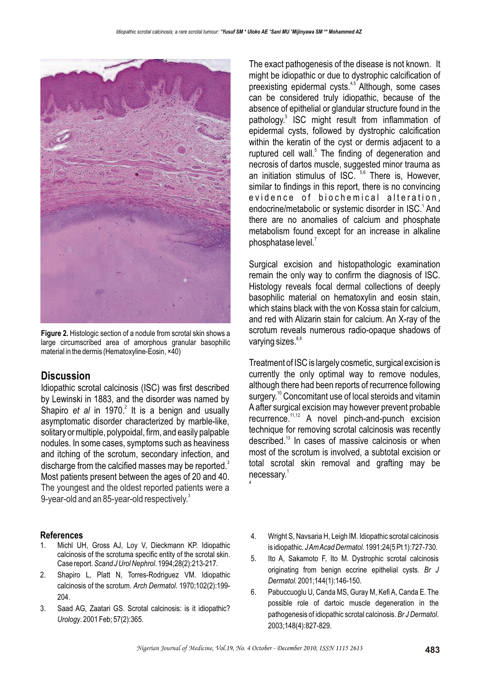

**Figure 2.** Histologic section of a nodule from scrotal skin shows a large circumscribed area of amorphous granular basophilic material in the dermis (Hematoxyline-Eosin, ×40)

## **Discussion**

Idiopathic scrotal calcinosis (ISC) was first described by Lewinski in 1883, and the disorder was named by Shapiro *et al* in 1970.<sup>2</sup> It is a benign and usually asymptomatic disorder characterized by marble-like, solitary or multiple, polypoidal, firm, and easily palpable nodules. In some cases, symptoms such as heaviness and itching of the scrotum, secondary infection, and discharge from the calcified masses may be reported. $3$ Most patients present between the ages of 20 and 40. The youngest and the oldest reported patients were a 9-year-old and an 85-year-old respectively. $^3$ 

#### **References**

- 1. Michl UH, Gross AJ, Loy V, Dieckmann KP. Idiopathic calcinosis of the scrotuma specific entity of the scrotal skin. Case report. *Scand J Urol Nephrol*. 1994;28(2):213-217.
- 2. Shapiro L, Platt N, Torres-Rodriguez VM. Idiopathic calcinosis of the scrotum. *Arch Dermatol*. 1970;102(2):199- 204.
- 3. Saad AG, Zaatari GS. Scrotal calcinosis: is it idiopathic? *Urology*. 2001 Feb; 57(2):365.

The exact pathogenesis of the disease is not known. It might be idiopathic or due to dystrophic calcification of preexisting epidermal cysts.<sup>45</sup> Although, some cases can be considered truly idiopathic, because of the absence of epithelial or glandular structure found in the pathology.<sup>5</sup> ISC might result from inflammation of epidermal cysts, followed by dystrophic calcification within the keratin of the cyst or dermis adjacent to a ruptured cell wall.<sup>5</sup> The finding of degeneration and necrosis of dartos muscle, suggested minor trauma as an initiation stimulus of ISC. <sup>5,6</sup> There is, However, similar to findings in this report, there is no convincing evidence of biochemical alteration, endocrine/metabolic or systemic disorder in ISC. $<sup>1</sup>$  And</sup> there are no anomalies of calcium and phosphate metabolism found except for an increase in alkaline phosphatase level. $<sup>7</sup>$ </sup>

Surgical excision and histopathologic examination remain the only way to confirm the diagnosis of ISC. Histology reveals focal dermal collections of deeply basophilic material on hematoxylin and eosin stain, which stains black with the von Kossa stain for calcium, and red with Alizarin stain for calcium. An X-ray of the scrotum reveals numerous radio-opaque shadows of varying sizes.<sup>8,9</sup>

Treatment of ISC is largely cosmetic, surgical excision is currently the only optimal way to remove nodules, although there had been reports of recurrence following surgery.<sup>10</sup> Concomitant use of local steroids and vitamin A after surgical excision may however prevent probable  $recurrence<sup>11,12</sup>$  A novel pinch-and-punch excision technique for removing scrotal calcinosis was recently described. $13$  In cases of massive calcinosis or when most of the scrotum is involved, a subtotal excision or total scrotal skin removal and grafting may be necessary. $^{1}$ 4

- 4. Wright S, Navsaria H, Leigh IM. Idiopathic scrotal calcinosis is idiopathic. *J Am Acad Dermatol*. 1991;24(5 Pt 1):727-730.
- 5. Ito A, Sakamoto F, Ito M. Dystrophic scrotal calcinosis originating from benign eccrine epithelial cysts. *Br J Dermatol.* 2001;144(1):146-150.
- 6. Pabuccuoglu U, Canda MS, Guray M, Kefi A, Canda E. The possible role of dartoic muscle degeneration in the pathogenesis of idiopathic scrotal calcinosis. *Br J Dermatol*. 2003;148(4):827-829.